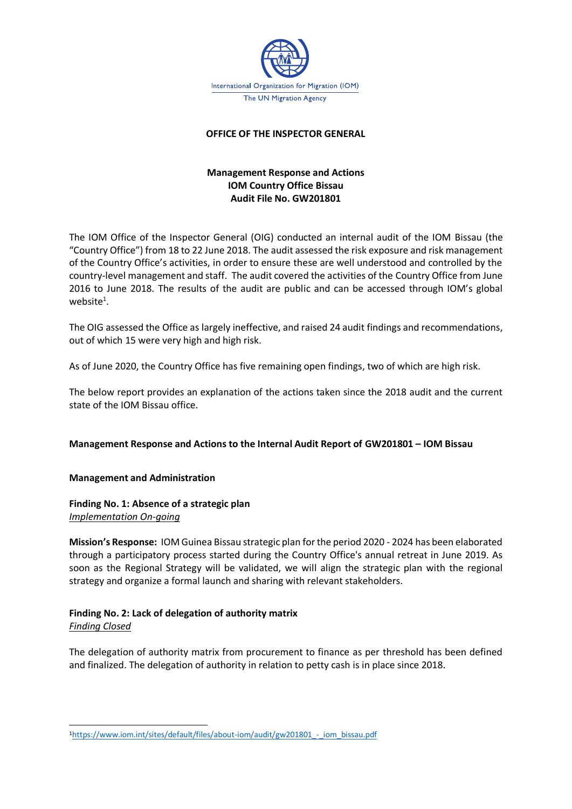

#### **OFFICE OF THE INSPECTOR GENERAL**

## **Management Response and Actions IOM Country Office Bissau Audit File No. GW201801**

The IOM Office of the Inspector General (OIG) conducted an internal audit of the IOM Bissau (the "Country Office") from 18 to 22 June 2018. The audit assessed the risk exposure and risk management of the Country Office's activities, in order to ensure these are well understood and controlled by the country-level management and staff. The audit covered the activities of the Country Office from June 2016 to June 2018. The results of the audit are public and can be accessed through IOM's global website $^1$ .

The OIG assessed the Office as largely ineffective, and raised 24 audit findings and recommendations, out of which 15 were very high and high risk.

As of June 2020, the Country Office has five remaining open findings, two of which are high risk.

The below report provides an explanation of the actions taken since the 2018 audit and the current state of the IOM Bissau office.

#### **Management Response and Actions to the Internal Audit Report of GW201801 – IOM Bissau**

#### **Management and Administration**

#### **Finding No. 1: Absence of a strategic plan** *Implementation On-going*

**Mission's Response:** IOM Guinea Bissau strategic plan for the period 2020 - 2024 has been elaborated through a participatory process started during the Country Office's annual retreat in June 2019. As soon as the Regional Strategy will be validated, we will align the strategic plan with the regional strategy and organize a formal launch and sharing with relevant stakeholders.

# **Finding No. 2: Lack of delegation of authority matrix**

### *Finding Closed*

The delegation of authority matrix from procurement to finance as per threshold has been defined and finalized. The delegation of authority in relation to petty cash is in place since 2018.

<sup>1</sup>https://www.iom.int/sites/default/files/about-iom/audit/gw201801 - iom\_bissau.pdf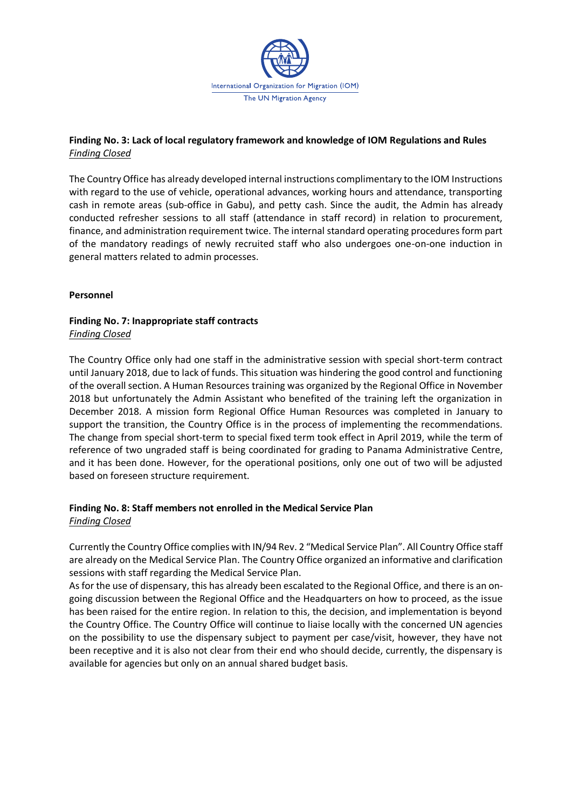

## **Finding No. 3: Lack of local regulatory framework and knowledge of IOM Regulations and Rules** *Finding Closed*

The Country Office has already developed internal instructions complimentary to the IOM Instructions with regard to the use of vehicle, operational advances, working hours and attendance, transporting cash in remote areas (sub-office in Gabu), and petty cash. Since the audit, the Admin has already conducted refresher sessions to all staff (attendance in staff record) in relation to procurement, finance, and administration requirement twice. The internal standard operating procedures form part of the mandatory readings of newly recruited staff who also undergoes one-on-one induction in general matters related to admin processes.

## **Personnel**

## **Finding No. 7: Inappropriate staff contracts** *Finding Closed*

The Country Office only had one staff in the administrative session with special short-term contract until January 2018, due to lack of funds. This situation was hindering the good control and functioning of the overall section. A Human Resources training was organized by the Regional Office in November 2018 but unfortunately the Admin Assistant who benefited of the training left the organization in December 2018. A mission form Regional Office Human Resources was completed in January to support the transition, the Country Office is in the process of implementing the recommendations. The change from special short-term to special fixed term took effect in April 2019, while the term of reference of two ungraded staff is being coordinated for grading to Panama Administrative Centre, and it has been done. However, for the operational positions, only one out of two will be adjusted based on foreseen structure requirement.

### **Finding No. 8: Staff members not enrolled in the Medical Service Plan** *Finding Closed*

Currently the Country Office complies with IN/94 Rev. 2 "Medical Service Plan". All Country Office staff are already on the Medical Service Plan. The Country Office organized an informative and clarification sessions with staff regarding the Medical Service Plan.

As for the use of dispensary, this has already been escalated to the Regional Office, and there is an ongoing discussion between the Regional Office and the Headquarters on how to proceed, as the issue has been raised for the entire region. In relation to this, the decision, and implementation is beyond the Country Office. The Country Office will continue to liaise locally with the concerned UN agencies on the possibility to use the dispensary subject to payment per case/visit, however, they have not been receptive and it is also not clear from their end who should decide, currently, the dispensary is available for agencies but only on an annual shared budget basis.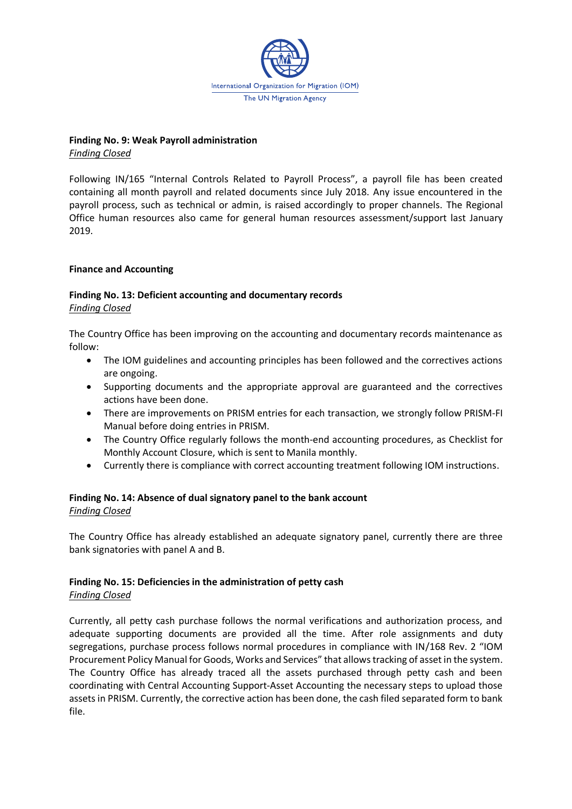

## **Finding No. 9: Weak Payroll administration**

*Finding Closed*

Following IN/165 "Internal Controls Related to Payroll Process", a payroll file has been created containing all month payroll and related documents since July 2018. Any issue encountered in the payroll process, such as technical or admin, is raised accordingly to proper channels. The Regional Office human resources also came for general human resources assessment/support last January 2019.

## **Finance and Accounting**

### **Finding No. 13: Deficient accounting and documentary records** *Finding Closed*

The Country Office has been improving on the accounting and documentary records maintenance as follow:

- The IOM guidelines and accounting principles has been followed and the correctives actions are ongoing.
- Supporting documents and the appropriate approval are guaranteed and the correctives actions have been done.
- There are improvements on PRISM entries for each transaction, we strongly follow PRISM-FI Manual before doing entries in PRISM.
- The Country Office regularly follows the month-end accounting procedures, as Checklist for Monthly Account Closure, which is sent to Manila monthly.
- Currently there is compliance with correct accounting treatment following IOM instructions.

## **Finding No. 14: Absence of dual signatory panel to the bank account**

#### *Finding Closed*

The Country Office has already established an adequate signatory panel, currently there are three bank signatories with panel A and B.

## **Finding No. 15: Deficiencies in the administration of petty cash**

## *Finding Closed*

Currently, all petty cash purchase follows the normal verifications and authorization process, and adequate supporting documents are provided all the time. After role assignments and duty segregations, purchase process follows normal procedures in compliance with IN/168 Rev. 2 "IOM Procurement Policy Manual for Goods, Works and Services" that allows tracking of asset in the system. The Country Office has already traced all the assets purchased through petty cash and been coordinating with Central Accounting Support-Asset Accounting the necessary steps to upload those assets in PRISM. Currently, the corrective action has been done, the cash filed separated form to bank file.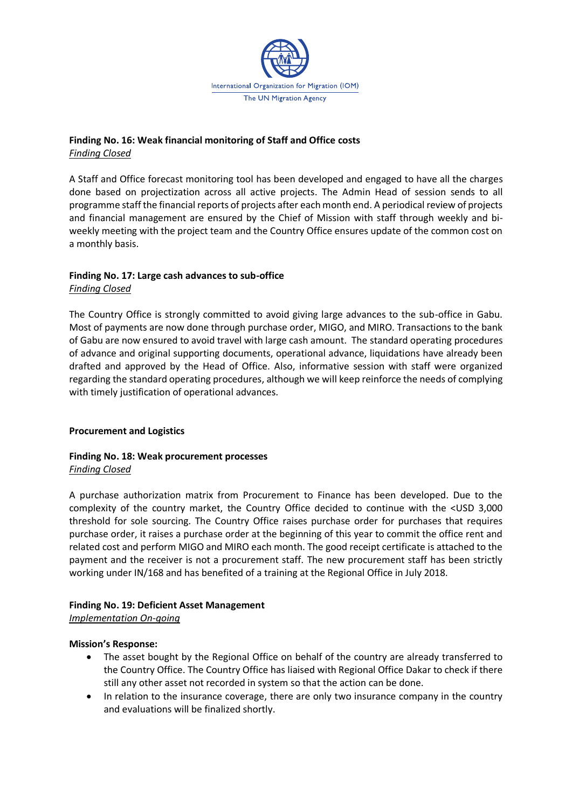

## **Finding No. 16: Weak financial monitoring of Staff and Office costs** *Finding Closed*

A Staff and Office forecast monitoring tool has been developed and engaged to have all the charges done based on projectization across all active projects. The Admin Head of session sends to all programme staff the financial reports of projects after each month end. A periodical review of projects and financial management are ensured by the Chief of Mission with staff through weekly and biweekly meeting with the project team and the Country Office ensures update of the common cost on a monthly basis.

## **Finding No. 17: Large cash advances to sub-office** *Finding Closed*

The Country Office is strongly committed to avoid giving large advances to the sub-office in Gabu. Most of payments are now done through purchase order, MIGO, and MIRO. Transactions to the bank of Gabu are now ensured to avoid travel with large cash amount. The standard operating procedures of advance and original supporting documents, operational advance, liquidations have already been drafted and approved by the Head of Office. Also, informative session with staff were organized regarding the standard operating procedures, although we will keep reinforce the needs of complying with timely justification of operational advances.

## **Procurement and Logistics**

### **Finding No. 18: Weak procurement processes** *Finding Closed*

A purchase authorization matrix from Procurement to Finance has been developed. Due to the complexity of the country market, the Country Office decided to continue with the <USD 3,000 threshold for sole sourcing. The Country Office raises purchase order for purchases that requires purchase order, it raises a purchase order at the beginning of this year to commit the office rent and related cost and perform MIGO and MIRO each month. The good receipt certificate is attached to the payment and the receiver is not a procurement staff. The new procurement staff has been strictly working under IN/168 and has benefited of a training at the Regional Office in July 2018.

## **Finding No. 19: Deficient Asset Management**

*Implementation On-going*

#### **Mission's Response:**

- The asset bought by the Regional Office on behalf of the country are already transferred to the Country Office. The Country Office has liaised with Regional Office Dakar to check if there still any other asset not recorded in system so that the action can be done.
- In relation to the insurance coverage, there are only two insurance company in the country and evaluations will be finalized shortly.